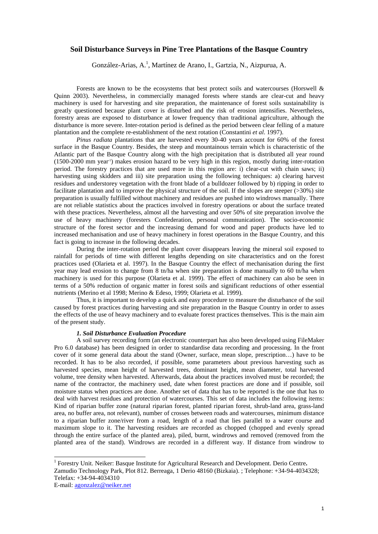# **Soil Disturbance Surveys in Pine Tree Plantations of the Basque Country**

González-Arias, A.<sup>1</sup>, Martínez de Arano, I., Gartzia, N., Aizpurua, A.

Forests are known to be the ecosystems that best protect soils and watercourses (Horswell & Quinn 2003). Nevertheless, in commercially managed forests where stands are clear-cut and heavy machinery is used for harvesting and site preparation, the maintenance of forest soils sustainability is greatly questioned because plant cover is disturbed and the risk of erosion intensifies. Nevertheless, forestry areas are exposed to disturbance at lower frequency than traditional agriculture, although the disturbance is more severe. Inter-rotation period is defined as the period between clear felling of a mature plantation and the complete re-establishment of the next rotation (Constantini *et al*. 1997).

*Pinus radiata* plantations that are harvested every 30-40 years account for 60% of the forest surface in the Basque Country. Besides, the steep and mountainous terrain which is characteristic of the Atlantic part of the Basque Country along with the high precipitation that is distributed all year round (1500-2000 mm year-1) makes erosion hazard to be very high in this region, mostly during inter-rotation period. The forestry practices that are used more in this region are: i) clear-cut with chain saws; ii) harvesting using skidders and iii) site preparation using the following techniques: a) clearing harvest residues and understorey vegetation with the front blade of a bulldozer followed by b) ripping in order to facilitate plantation and to improve the physical structure of the soil. If the slopes are steeper  $(>30%)$  site preparation is usually fulfilled without machinery and residues are pushed into windrows manually. There are not reliable statistics about the practices involved in forestry operations or about the surface treated with these practices. Nevertheless, almost all the harvesting and over 50% of site preparation involve the use of heavy machinery (foresters Confederation, personal communication). The socio-economic structure of the forest sector and the increasing demand for wood and paper products have led to increased mechanisation and use of heavy machinery in forest operations in the Basque Country, and this fact is going to increase in the following decades.

During the inter-rotation period the plant cover disappears leaving the mineral soil exposed to rainfall for periods of time with different lengths depending on site characteristics and on the forest practices used (Olarieta et al. 1997). In the Basque Country the effect of mechanisation during the first year may lead erosion to change from 8 tn/ha when site preparation is done manually to 60 tn/ha when machinery is used for this purpose (Olarieta et al. 1999). The effect of machinery can also be seen in terms of a 50% reduction of organic matter in forest soils and significant reductions of other essential nutrients (Merino et al 1998; Merino & Edeso, 1999; Olarieta et al. 1999).

Thus, it is important to develop a quick and easy procedure to measure the disturbance of the soil caused by forest practices during harvesting and site preparation in the Basque Country in order to asses the effects of the use of heavy machinery and to evaluate forest practices themselves. This is the main aim of the present study.

# *1. Soil Disturbance Evaluation Procedure*

l

A soil survey recording form (an electronic counterpart has also been developed using FileMaker Pro 6.0 database) has been designed in order to standardise data recording and processing. In the front cover of it some general data about the stand (Owner, surface, mean slope, prescription…) have to be recorded. It has to be also recorded, if possible, some parameters about previous harvesting such as harvested species, mean height of harvested trees, dominant height, mean diameter, total harvested volume, tree density when harvested. Afterwards, data about the practices involved must be recorded; the name of the contractor, the machinery used, date when forest practices are done and if possible, soil moisture status when practices are done. Another set of data that has to be reported is the one that has to deal with harvest residues and protection of watercourses. This set of data includes the following items: Kind of riparian buffer zone (natural riparian forest, planted riparian forest, shrub-land area, grass-land area, no buffer area, not relevant), number of crosses between roads and watercourses, minimum distance to a riparian buffer zone/river from a road, length of a road that lies parallel to a water course and maximum slope to it. The harvesting residues are recorded as chopped (chopped and evenly spread through the entire surface of the planted area), piled, burnt, windrows and removed (removed from the planted area of the stand). Windrows are recorded in a different way. If distance from windrow to

<sup>&</sup>lt;sup>1</sup> Forestry Unit. Neiker: Basque Institute for Agricultural Research and Development. Derio Centre. Zamudio Technology Park, Plot 812. Berreaga, 1 Derio 48160 (Bizkaia). ; Telephone: +34-94-4034328; Telefax: +34-94-4034310 E-mail: agonzalez@neiker.net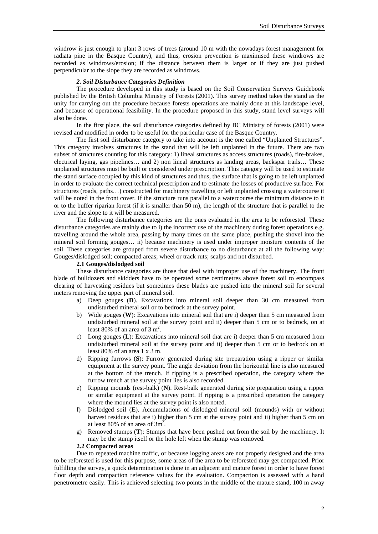windrow is just enough to plant 3 rows of trees (around 10 m with the nowadays forest management for radiata pine in the Basque Country), and thus, erosion prevention is maximised these windrows are recorded as windrows/erosion; if the distance between them is larger or if they are just pushed perpendicular to the slope they are recorded as windrows.

## *2. Soil Disturbance Categories Definition*

The procedure developed in this study is based on the Soil Conservation Surveys Guidebook published by the British Columbia Ministry of Forests (2001). This survey method takes the stand as the unity for carrying out the procedure because forests operations are mainly done at this landscape level, and because of operational feasibility. In the procedure proposed in this study, stand level surveys will also be done.

In the first place, the soil disturbance categories defined by BC Ministry of forests (2001) were revised and modified in order to be useful for the particular case of the Basque Country.

The first soil disturbance category to take into account is the one called "Unplanted Structures". This category involves structures in the stand that will be left unplanted in the future. There are two subset of structures counting for this category: 1) lineal structures as access structures (roads), fire-brakes, electrical laying, gas pipelines… and 2) non lineal structures as landing areas, backspar trails… These unplanted structures must be built or considered under prescription. This category will be used to estimate the stand surface occupied by this kind of structures and thus, the surface that is going to be left unplanted in order to evaluate the correct technical prescription and to estimate the losses of productive surface. For structures (roads, paths…) constructed for machinery travelling or left unplanted crossing a watercourse it will be noted in the front cover. If the structure runs parallel to a watercourse the minimum distance to it or to the buffer riparian forest (if it is smaller than  $50 \text{ m}$ ), the length of the structure that is parallel to the river and the slope to it will be measured.

The following disturbance categories are the ones evaluated in the area to be reforested. These disturbance categories are mainly due to i) the incorrect use of the machinery during forest operations e.g. travelling around the whole area, passing by many times on the same place, pushing the shovel into the mineral soil forming gouges… ii) because machinery is used under improper moisture contents of the soil. These categories are grouped from severe disturbance to no disturbance at all the following way: Gouges/dislodged soil; compacted areas; wheel or track ruts; scalps and not disturbed.

# **2.1 Gouges/dislodged soil**

These disturbance categories are those that deal with improper use of the machinery. The front blade of bulldozers and skidders have to be operated some centimetres above forest soil to encompass clearing of harvesting residues but sometimes these blades are pushed into the mineral soil for several meters removing the upper part of mineral soil.

- a) Deep gouges (**D**). Excavations into mineral soil deeper than 30 cm measured from undisturbed mineral soil or to bedrock at the survey point.
- b) Wide gouges (**W**): Excavations into mineral soil that are i) deeper than 5 cm measured from undisturbed mineral soil at the survey point and ii) deeper than 5 cm or to bedrock, on at least 80% of an area of 3  $m^2$ .
- c) Long gouges (**L**): Excavations into mineral soil that are i) deeper than 5 cm measured from undisturbed mineral soil at the survey point and ii) deeper than 5 cm or to bedrock on at least 80% of an area 1 x 3 m.
- d) Ripping furrows (**S**): Furrow generated during site preparation using a ripper or similar equipment at the survey point. The angle deviation from the horizontal line is also measured at the bottom of the trench. If ripping is a prescribed operation, the category where the furrow trench at the survey point lies is also recorded.
- e) Ripping mounds (rest-balk) (**N**). Rest-balk generated during site preparation using a ripper or similar equipment at the survey point. If ripping is a prescribed operation the category where the mound lies at the survey point is also noted.
- f) Dislodged soil (**E**). Accumulations of dislodged mineral soil (mounds) with or without harvest residues that are i) higher than 5 cm at the survey point and ii) higher than 5 cm on at least 80% of an area of  $3m^2$ .
- g) Removed stumps (**T**): Stumps that have been pushed out from the soil by the machinery. It may be the stump itself or the hole left when the stump was removed.

# **2.2 Compacted areas**

Due to repeated machine traffic, or because logging areas are not properly designed and the area to be reforested is used for this purpose, some areas of the area to be reforested may get compacted. Prior fulfilling the survey, a quick determination is done in an adjacent and mature forest in order to have forest floor depth and compaction reference values for the evaluation. Compaction is assessed with a hand penetrometre easily. This is achieved selecting two points in the middle of the mature stand, 100 m away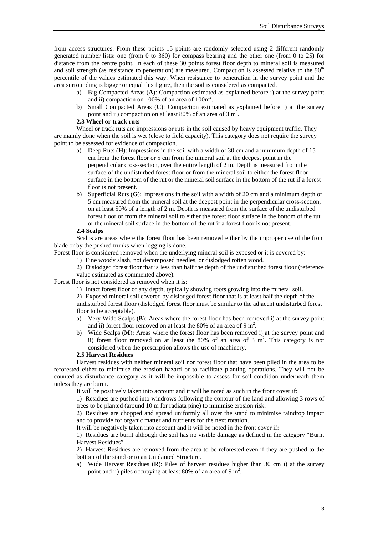from access structures. From these points 15 points are randomly selected using 2 different randomly generated number lists: one (from 0 to 360) for compass bearing and the other one (from 0 to 25) for distance from the centre point. In each of these 30 points forest floor depth to mineral soil is measured and soil strength (as resistance to penetration) are measured. Compaction is assessed relative to the  $90<sup>th</sup>$ percentile of the values estimated this way. When resistance to penetration in the survey point and the area surrounding is bigger or equal this figure, then the soil is considered as compacted.

- a) Big Compacted Areas (**A**): Compaction estimated as explained before i) at the survey point and ii) compaction on 100% of an area of 100m<sup>2</sup>.
- b) Small Compacted Areas (**C**): Compaction estimated as explained before i) at the survey point and ii) compaction on at least 80% of an area of 3  $m<sup>2</sup>$ .

# **2.3 Wheel or track ruts**

Wheel or track ruts are impressions or ruts in the soil caused by heavy equipment traffic. They are mainly done when the soil is wet (close to field capacity). This category does not require the survey point to be assessed for evidence of compaction.

- a) Deep Ruts (**H**): Impressions in the soil with a width of 30 cm and a minimum depth of 15 cm from the forest floor or 5 cm from the mineral soil at the deepest point in the perpendicular cross-section, over the entire length of 2 m. Depth is measured from the surface of the undisturbed forest floor or from the mineral soil to either the forest floor surface in the bottom of the rut or the mineral soil surface in the bottom of the rut if a forest floor is not present.
- b) Superficial Ruts (**G**): Impressions in the soil with a width of 20 cm and a minimum depth of 5 cm measured from the mineral soil at the deepest point in the perpendicular cross-section, on at least 50% of a length of 2 m. Depth is measured from the surface of the undisturbed forest floor or from the mineral soil to either the forest floor surface in the bottom of the rut or the mineral soil surface in the bottom of the rut if a forest floor is not present.

#### **2.4 Scalps**

Scalps are areas where the forest floor has been removed either by the improper use of the front blade or by the pushed trunks when logging is done.

Forest floor is considered removed when the underlying mineral soil is exposed or it is covered by:

1) Fine woody slash, not decomposed needles, or dislodged rotten wood.

2) Dislodged forest floor that is less than half the depth of the undisturbed forest floor (reference value estimated as commented above).

Forest floor is not considered as removed when it is:

1) Intact forest floor of any depth, typically showing roots growing into the mineral soil.

2) Exposed mineral soil covered by dislodged forest floor that is at least half the depth of the undisturbed forest floor (dislodged forest floor must be similar to the adjacent undisturbed forest floor to be acceptable).

- a) Very Wide Scalps (**B**): Areas where the forest floor has been removed i) at the survey point and ii) forest floor removed on at least the 80% of an area of 9  $m<sup>2</sup>$ .
- b) Wide Scalps (**M**): Areas where the forest floor has been removed i) at the survey point and ii) forest floor removed on at least the 80% of an area of  $3 \text{ m}^2$ . This category is not considered when the prescription allows the use of machinery.

# **2.5 Harvest Residues**

Harvest residues with neither mineral soil nor forest floor that have been piled in the area to be reforested either to minimise the erosion hazard or to facilitate planting operations. They will not be counted as disturbance category as it will be impossible to assess for soil condition underneath them unless they are burnt.

It will be positively taken into account and it will be noted as such in the front cover if:

1) Residues are pushed into windrows following the contour of the land and allowing 3 rows of trees to be planted (around 10 m for radiata pine) to minimise erosion risk.

2) Residues are chopped and spread uniformly all over the stand to minimise raindrop impact and to provide for organic matter and nutrients for the next rotation.

It will be negatively taken into account and it will be noted in the front cover if:

1) Residues are burnt although the soil has no visible damage as defined in the category "Burnt Harvest Residues"

2) Harvest Residues are removed from the area to be reforested even if they are pushed to the bottom of the stand or to an Unplanted Structure.

a) Wide Harvest Residues (**R**): Piles of harvest residues higher than 30 cm i) at the survey point and ii) piles occupying at least 80% of an area of 9  $m^2$ .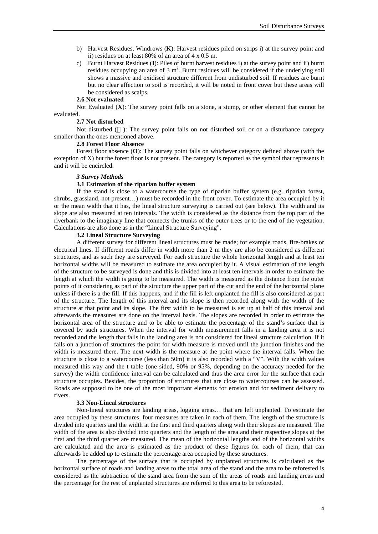- b) Harvest Residues. Windrows (**K**): Harvest residues piled on strips i) at the survey point and ii) residues on at least 80% of an area of 4 x 0.5 m.
- c) Burnt Harvest Residues (**I**): Piles of burnt harvest residues i) at the survey point and ii) burnt residues occupying an area of 3  $m^2$ . Burnt residues will be considered if the underlying soil shows a massive and oxidised structure different from undisturbed soil. If residues are burnt but no clear affection to soil is recorded, it will be noted in front cover but these areas will be considered as scalps.

### **2.6 Not evaluated**

Not Evaluated (**X**): The survey point falls on a stone, a stump, or other element that cannot be evaluated.

## **2.7 Not disturbed**

Not disturbed  $(-)$ : The survey point falls on not disturbed soil or on a disturbance category smaller than the ones mentioned above.

# **2.8 Forest Floor Absence**

Forest floor absence (**O**): The survey point falls on whichever category defined above (with the exception of X) but the forest floor is not present. The category is reported as the symbol that represents it and it will be encircled.

## *3 Survey Methods*

# **3.1 Estimation of the riparian buffer system**

If the stand is close to a watercourse the type of riparian buffer system (e.g. riparian forest, shrubs, grassland, not present…) must be recorded in the front cover. To estimate the area occupied by it or the mean width that it has, the lineal structure surveying is carried out (see below). The width and its slope are also measured at ten intervals. The width is considered as the distance from the top part of the riverbank to the imaginary line that connects the trunks of the outer trees or to the end of the vegetation. Calculations are also done as in the "Lineal Structure Surveying".

## **3.2 Lineal Structure Surveying**

A different survey for different lineal structures must be made; for example roads, fire-brakes or electrical lines. If different roads differ in width more than 2 m they are also be considered as different structures, and as such they are surveyed. For each structure the whole horizontal length and at least ten horizontal widths will be measured to estimate the area occupied by it. A visual estimation of the length of the structure to be surveyed is done and this is divided into at least ten intervals in order to estimate the length at which the width is going to be measured. The width is measured as the distance from the outer points of it considering as part of the structure the upper part of the cut and the end of the horizontal plane unless if there is a the fill. If this happens, and if the fill is left unplanted the fill is also considered as part of the structure. The length of this interval and its slope is then recorded along with the width of the structure at that point and its slope. The first width to be measured is set up at half of this interval and afterwards the measures are done on the interval basis. The slopes are recorded in order to estimate the horizontal area of the structure and to be able to estimate the percentage of the stand's surface that is covered by such structures. When the interval for width measurement falls in a landing area it is not recorded and the length that falls in the landing area is not considered for lineal structure calculation. If it falls on a junction of structures the point for width measure is moved until the junction finishes and the width is measured there. The next width is the measure at the point where the interval falls. When the structure is close to a watercourse (less than 50m) it is also recorded with a "V". With the width values measured this way and the t table (one sided, 90% or 95%, depending on the accuracy needed for the survey) the width confidence interval can be calculated and thus the area error for the surface that each structure occupies. Besides, the proportion of structures that are close to watercourses can be assessed. Roads are supposed to be one of the most important elements for erosion and for sediment delivery to rivers.

### **3.3 Non-Lineal structures**

Non-lineal structures are landing areas, logging areas… that are left unplanted. To estimate the area occupied by these structures, four measures are taken in each of them. The length of the structure is divided into quarters and the width at the first and third quarters along with their slopes are measured. The width of the area is also divided into quarters and the length of the area and their respective slopes at the first and the third quarter are measured. The mean of the horizontal lengths and of the horizontal widths are calculated and the area is estimated as the product of these figures for each of them, that can afterwards be added up to estimate the percentage area occupied by these structures.

The percentage of the surface that is occupied by unplanted structures is calculated as the horizontal surface of roads and landing areas to the total area of the stand and the area to be reforested is considered as the subtraction of the stand area from the sum of the areas of roads and landing areas and the percentage for the rest of unplanted structures are referred to this area to be reforested.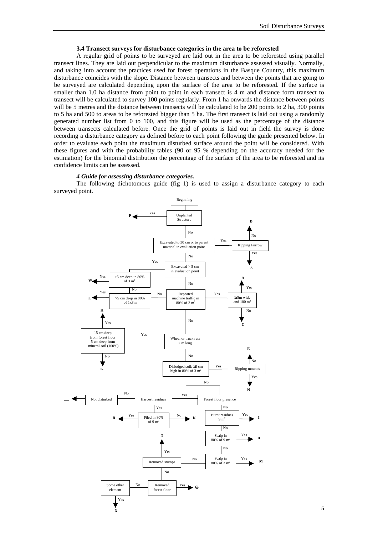### **3.4 Transect surveys for disturbance categories in the area to be reforested**

A regular grid of points to be surveyed are laid out in the area to be reforested using parallel transect lines. They are laid out perpendicular to the maximum disturbance assessed visually. Normally, and taking into account the practices used for forest operations in the Basque Country, this maximum disturbance coincides with the slope. Distance between transects and between the points that are going to be surveyed are calculated depending upon the surface of the area to be reforested. If the surface is smaller than 1.0 ha distance from point to point in each transect is 4 m and distance form transect to transect will be calculated to survey 100 points regularly. From 1 ha onwards the distance between points will be 5 metres and the distance between transects will be calculated to be 200 points to 2 ha, 300 points to 5 ha and 500 to areas to be reforested bigger than 5 ha. The first transect is laid out using a randomly generated number list from 0 to 100, and this figure will be used as the percentage of the distance between transects calculated before. Once the grid of points is laid out in field the survey is done recording a disturbance category as defined before to each point following the guide presented below. In order to evaluate each point the maximum disturbed surface around the point will be considered. With these figures and with the probability tables (90 or 95 % depending on the accuracy needed for the estimation) for the binomial distribution the percentage of the surface of the area to be reforested and its confidence limits can be assessed.

## *4 Guide for assessing disturbance categories.*

The following dichotomous guide (fig 1) is used to assign a disturbance category to each surveyed point.

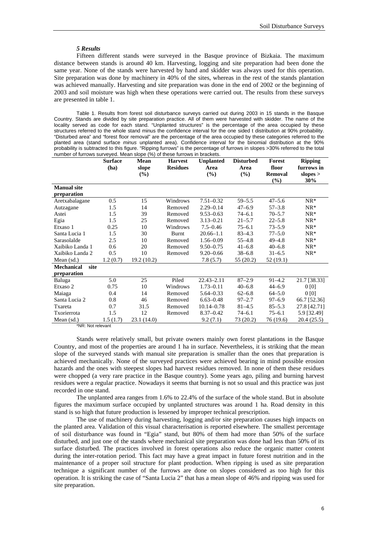#### *5 Results*

Fifteen different stands were surveyed in the Basque province of Bizkaia. The maximum distance between stands is around 40 km. Harvesting, logging and site preparation had been done the same year. None of the stands were harvested by hand and skidder was always used for this operation. Site preparation was done by machinery in 40% of the sites, whereas in the rest of the stands plantation was achieved manually. Harvesting and site preparation was done in the end of 2002 or the beginning of 2003 and soil moisture was high when these operations were carried out. The results from these surveys are presented in table 1.

Table 1. Results from forest soil disturbance surveys carried out during 2003 in 15 stands in the Basque Country. Stands are divided by site preparation practice. All of them were harvested with skidder. The name of the locality served as code for each stand. "Unplanted structures" is the percentage of the area occupied by these structures referred to the whole stand minus the confidence interval for the one sided t distribution at 90% probability. "Disturbed area" and "forest floor removal" are the percentage of the area occupied by these categories referred to the planted area (stand surface *minus* unplanted area). Confidence interval for the binomial distribution at the 90% probability is subtracted to this figure. "Ripping furrows" is the percentage of furrows in slopes >30% referred to the total number of furrows surveyed. Mean slope (%) of these furrows in brackets.

|                           | <b>Surface</b><br>(ha) | <b>Mean</b><br>slope<br>(%) | <b>Harvest</b><br><b>Residues</b> | <b>Unplanted</b><br>Area<br>(%) | <b>Disturbed</b><br>Area<br>(%) | Forest<br>floor<br><b>Removal</b> | <b>Ripping</b><br>furrows in<br>slopes $>$<br>30% |
|---------------------------|------------------------|-----------------------------|-----------------------------------|---------------------------------|---------------------------------|-----------------------------------|---------------------------------------------------|
| <b>Manual site</b>        |                        |                             |                                   |                                 |                                 | $(\%)$                            |                                                   |
| preparation               |                        |                             |                                   |                                 |                                 |                                   |                                                   |
| Aretxabalagane            | 0.5                    | 15                          | Windrows                          | $7.51 - 0.32$                   | $59 - 5.5$                      | $47 - 5.6$                        | $NR*$                                             |
| Autzagane                 | 1.5                    | 14                          | Removed                           | $2.29 - 0.14$                   | $47 - 6.9$                      | $57 - 3.8$                        | $NR^*$                                            |
| Astei                     | 1.5                    | 39                          | Removed                           | $9.53 - 0.63$                   | $74 - 6.1$                      | $70 - 5.7$                        | $NR*$                                             |
| Egia                      | 1.5                    | 25                          | Removed                           | $3.13 - 0.21$                   | $21 - 5.7$                      | $22 - 5.8$                        | $NR*$                                             |
| Etxaso 1                  | 0.25                   | 10                          | Windrows                          | $7.5 - 0.46$                    | $75 - 6.1$                      | $73 - 5.9$                        | $NR*$                                             |
| Santa Lucia 1             | 1.5                    | 30                          | Burnt                             | $20.66 - 1.1$                   | $83 - 4.3$                      | $77 - 5.0$                        | $NR*$                                             |
| Sarasolalde               | 2.5                    | 10                          | Removed                           | $1.56 - 0.09$                   | $55 - 4.8$                      | $49 - 4.8$                        | $NR*$                                             |
| Xaibiko Landa 1           | 0.6                    | 20                          | Removed                           | $9.50 - 0.75$                   | $41 - 6.8$                      | $40 - 6.8$                        | $NR*$                                             |
| Xaibiko Landa 2           | 0.5                    | 10                          | Removed                           | $9.20 - 0.66$                   | $38 - 6.8$                      | $31 - 6.5$                        | $NR*$                                             |
| Mean (sd.)                | 1.2(0.7)               | 19.2(10.2)                  |                                   | 7.8(5.7)                        | 55 (20.2)                       | 52 (19.1)                         |                                                   |
| <b>Mechanical</b><br>site |                        |                             |                                   |                                 |                                 |                                   |                                                   |
| preparation               |                        |                             |                                   |                                 |                                 |                                   |                                                   |
| Baluga                    | 5.0                    | 25                          | Piled                             | $22.43 - 2.11$                  | $87 - 2.9$                      | $91 - 4.2$                        | 21.7 [38.33]                                      |
| Etxaso 2                  | 0.75                   | 10                          | Windrows                          | $1.73 - 0.11$                   | $40 - 6.8$                      | $44 - 6.9$                        | 0 <sub>[0]</sub>                                  |
| Maiaga                    | 0.4                    | 14                          | Removed                           | $5.64 - 0.33$                   | $62 - 6.8$                      | $64 - 5.0$                        | 0 <sub>[0]</sub>                                  |
| Santa Lucia 2             | 0.8                    | 46                          | Removed                           | $6.63 - 0.48$                   | $97 - 2.7$                      | $97 - 6.9$                        | 66.7 [52.36]                                      |
| Txareta                   | 0.7                    | 31.5                        | Removed                           | $10.14 - 0.78$                  | $81 - 4.5$                      | $85 - 5.3$                        | 27.8 [42.71]                                      |
| Txorierrota               | 1.5                    | 12                          | Removed                           | $8.37 - 0.42$                   | $74 - 6.1$                      | $75 - 6.1$                        | 5.9 [32.49]                                       |
| Mean $(sd.)$              | 1.5(1.7)               | 23.1(14.0)                  |                                   | 9.2(7.1)                        | 73 (20.2)                       | 76 (19.6)                         | 20.4 (25.5)                                       |
| *NR: Not relevant         |                        |                             |                                   |                                 |                                 |                                   |                                                   |

Stands were relatively small, but private owners mainly own forest plantations in the Basque Country, and most of the properties are around 1 ha in surface. Nevertheless, it is striking that the mean slope of the surveyed stands with manual site preparation is smaller than the ones that preparation is achieved mechanically. None of the surveyed practices were achieved bearing in mind possible erosion hazards and the ones with steepest slopes had harvest residues removed. In none of them these residues were chopped (a very rare practice in the Basque country). Some years ago, piling and burning harvest residues were a regular practice. Nowadays it seems that burning is not so usual and this practice was just recorded in one stand.

The unplanted area ranges from 1.6% to 22.4% of the surface of the whole stand. But in absolute figures the maximum surface occupied by unplanted structures was around 1 ha. Road density in this stand is so high that future production is lessened by improper technical prescription.

The use of machinery during harvesting, logging and/or site preparation causes high impacts on the planted area. Validation of this visual characterisation is reported elsewhere. The smallest percentage of soil disturbance was found in "Egia" stand, but 80% of them had more than 50% of the surface disturbed, and just one of the stands where mechanical site preparation was done had less than 50% of its surface disturbed. The practices involved in forest operations also reduce the organic matter content during the inter-rotation period. This fact may have a great impact in future forest nutrition and in the maintenance of a proper soil structure for plant production. When ripping is used as site preparation technique a significant number of the furrows are done on slopes considered as too high for this operation. It is striking the case of "Santa Lucia 2" that has a mean slope of 46% and ripping was used for site preparation.